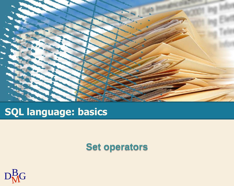

# **SQL language: basics**

#### **Set operators**

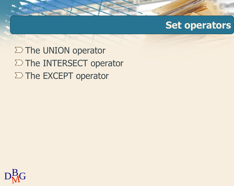#### **Set operators**

 $\Sigma$  The UNION operator  $\Sigma$  The INTERSECT operator  $\Sigma$  The EXCEPT operator

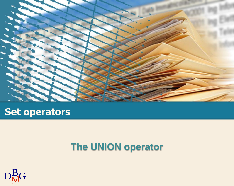

## **Set operators**

## **The UNION operator**

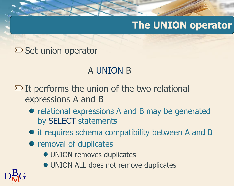# **The UNION operator**

#### $\Sigma$  Set union operator

## A UNION B

 $\Sigma$  It performs the union of the two relational expressions A and B

- relational expressions A and B may be generated by SELECT statements
- $\bullet$  it requires schema compatibility between A and B
- removal of duplicates
	- UNION removes duplicates
	- UNION ALL does not remove duplicates

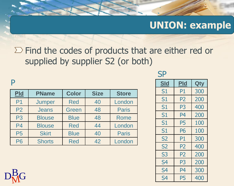$\Sigma$  Find the codes of products that are either red or supplied by supplier S2 (or both)

#### P

| Pld            | <b>PName</b>  | <b>Color</b> | <b>Size</b> | <b>Store</b> |
|----------------|---------------|--------------|-------------|--------------|
| P <sub>1</sub> | Jumper        | <b>Red</b>   | 40          | London       |
| P <sub>2</sub> | <b>Jeans</b>  | Green        | 48          | <b>Paris</b> |
| P <sub>3</sub> | <b>Blouse</b> | <b>Blue</b>  | 48          | <b>Rome</b>  |
| P <sub>4</sub> | <b>Blouse</b> | <b>Red</b>   | 44          | London       |
| <b>P5</b>      | <b>Skirt</b>  | <b>Blue</b>  | 40          | <b>Paris</b> |
| <b>P6</b>      | <b>Shorts</b> | <b>Red</b>   | 42          | London       |

#### **SP**

| <b>Sld</b>     | Pld            | Qty |
|----------------|----------------|-----|
| S1             | P1             | 300 |
| S1             | P2             | 200 |
| S1             | P <sub>3</sub> | 400 |
| S1             | P4             | 200 |
| S1             | P5             | 100 |
| S1             | P6             | 100 |
| S <sub>2</sub> | P1             | 300 |
| <b>S2</b>      | P2             | 400 |
| S <sub>3</sub> | P2             | 200 |
| S4             | P3             | 200 |
| S <sub>4</sub> | P4             | 300 |
| S4             | P5             | 400 |

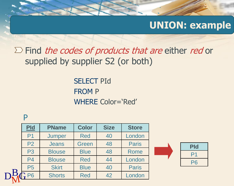$\Sigma$  Find *the codes of products that are* either *red* or supplied by supplier S2 (or both)

> SELECT PId FROM P WHERE Color='Red'

#### P

|              | $Pld$          | <b>PName</b>  | <b>Color</b> | <b>Size</b> | <b>Store</b> |
|--------------|----------------|---------------|--------------|-------------|--------------|
|              | P <sub>1</sub> | Jumper        | <b>Red</b>   | 40          | London       |
|              | P <sub>2</sub> | <b>Jeans</b>  | Green        | 48          | <b>Paris</b> |
|              | P <sub>3</sub> | <b>Blouse</b> | <b>Blue</b>  | 48          | <b>Rome</b>  |
|              | P <sub>4</sub> | <b>Blouse</b> | <b>Red</b>   | 44          | London       |
|              | <b>P5</b>      | <b>Skirt</b>  | <b>Blue</b>  | 40          | <b>Paris</b> |
| $\mathbf{D}$ | P <sub>6</sub> | <b>Shorts</b> | <b>Red</b>   | 42          | London       |
|              |                |               |              |             |              |

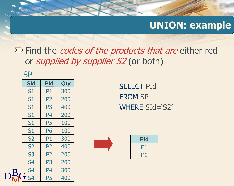$\Sigma$  Find the *codes of the products that are* either red or *supplied by supplier S2* (or both)

| <b>SP</b>      |                |            |
|----------------|----------------|------------|
| <u>SId</u>     | <b>Pld</b>     | <b>Qty</b> |
| S <sub>1</sub> | P1             | 300        |
| S1             | P <sub>2</sub> | 200        |
| S <sub>1</sub> | P <sub>3</sub> | 400        |
| S <sub>1</sub> | P <sub>4</sub> | 200        |
| S1             | <b>P5</b>      | 100        |
| S1             | <b>P6</b>      | 100        |
| <b>S2</b>      | P <sub>1</sub> | 300        |
| <b>S2</b>      | P <sub>2</sub> | 400        |
| S <sub>3</sub> | P <sub>2</sub> | 200        |
| S <sub>4</sub> | P <sub>3</sub> | 200        |
| S <sub>4</sub> | P <sub>4</sub> | 300        |
| $\sqrt{S}$     | P <sub>5</sub> | 400        |

SELECT PId FROM SP WHERE SId='S2'



| <b>Pld</b>        |
|-------------------|
| P <sub>1</sub>    |
| $\mathbf{Z}$<br>Н |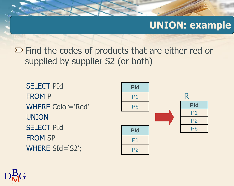$\Sigma$  Find the codes of products that are either red or supplied by supplier S2 (or both)

SELECT PId FROM P WHERE Color='Red' UNION SELECT PId FROM SP WHERE SId='S2';



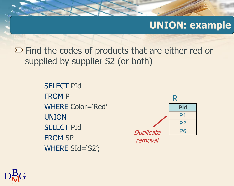$\Sigma$  Find the codes of products that are either red or supplied by supplier S2 (or both)

> SELECT PId FROM P WHERE Color='Red' UNION SELECT PId FROM SP WHERE SId='S2';



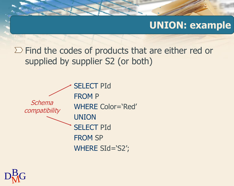$\Sigma$  Find the codes of products that are either red or supplied by supplier S2 (or both)



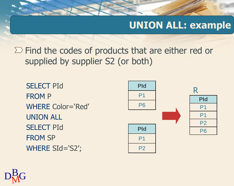## **UNION ALL: example**

 $\Sigma$  Find the codes of products that are either red or supplied by supplier S2 (or both)

SELECT PId FROM P WHERE Color='Red' UNION ALL SELECT PId FROM SP WHERE SId='S2';



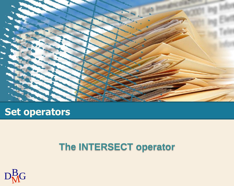

## **Set operators**

# **The INTERSECT operator**

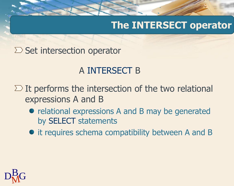# **The INTERSECT operator**

 $\Sigma$  Set intersection operator

## A INTERSECT B

- $\Sigma$  It performs the intersection of the two relational expressions A and B
	- relational expressions A and B may be generated by SELECT statements
	- $\bullet$  it requires schema compatibility between A and B

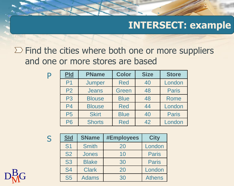$\Sigma$  Find the cities where both one or more suppliers and one or more stores are based

| Pld            | <b>PName</b>  | <b>Color</b> | <b>Size</b> | <b>Store</b> |
|----------------|---------------|--------------|-------------|--------------|
| P <sub>1</sub> | <b>Jumper</b> | <b>Red</b>   | 40          | London       |
| P <sub>2</sub> | <b>Jeans</b>  | Green        | 48          | <b>Paris</b> |
| <b>P3</b>      | <b>Blouse</b> | <b>Blue</b>  | 48          | <b>Rome</b>  |
| P <sub>4</sub> | <b>Blouse</b> | <b>Red</b>   | 44          | London       |
| <b>P5</b>      | <b>Skirt</b>  | <b>Blue</b>  | 40          | <b>Paris</b> |
| <b>P6</b>      | <b>Shorts</b> | <b>Red</b>   | 42          | London       |

S

P

| <b>SId</b>     | <b>SName</b> | <b>#Employees</b> | <b>City</b>   |
|----------------|--------------|-------------------|---------------|
| S <sub>1</sub> | <b>Smith</b> | 20                | London        |
| <b>S2</b>      | <b>Jones</b> | 10                | <b>Paris</b>  |
| S <sub>3</sub> | <b>Blake</b> | 30                | <b>Paris</b>  |
| <b>S4</b>      | <b>Clark</b> | 20                | London        |
| <b>S5</b>      | <b>Adams</b> | 30                | <b>Athens</b> |

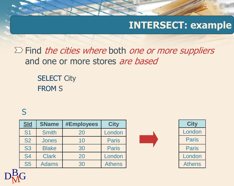$\Sigma$  Find the cities where both one or more suppliers and one or more stores are based

> **SELECT City** FROM S

#### S

| <u>SId</u>     | <b>SName</b> | <b>#Employees</b> | <b>City</b>   |
|----------------|--------------|-------------------|---------------|
| S <sub>1</sub> | <b>Smith</b> | 20                | London        |
| <b>S2</b>      | <b>Jones</b> | 10                | <b>Paris</b>  |
| <b>S3</b>      | <b>Blake</b> | 30                | <b>Paris</b>  |
| <b>S4</b>      | <b>Clark</b> | 20                | London        |
| <b>S5</b>      | <b>Adams</b> | 30                | <b>Athens</b> |





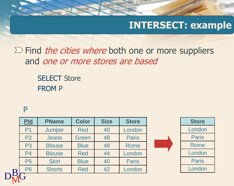$\Sigma$  Find *the cities where* both one or more suppliers and one or more stores are based

> SELECT Store FROM P

#### P

| Pld            | <b>PName</b>  | <b>Color</b> | <b>Size</b> | <b>Store</b> |
|----------------|---------------|--------------|-------------|--------------|
| P <sub>1</sub> | Jumper        | <b>Red</b>   | 40          | London       |
| P <sub>2</sub> | <b>Jeans</b>  | Green        | 48          | <b>Paris</b> |
| P <sub>3</sub> | <b>Blouse</b> | <b>Blue</b>  | 48          | <b>Rome</b>  |
| P <sub>4</sub> | <b>Blouse</b> | <b>Red</b>   | 44          | London       |
| <b>P5</b>      | <b>Skirt</b>  | <b>Blue</b>  | 40          | <b>Paris</b> |
| <b>P6</b>      | <b>Shorts</b> | <b>Red</b>   | 42          | London       |
|                |               |              |             |              |

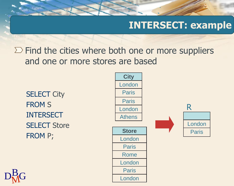$\Sigma$  Find the cities where both one or more suppliers and one or more stores are based

**SELECT City** FROM S INTERSECT SELECT Store FROM P;



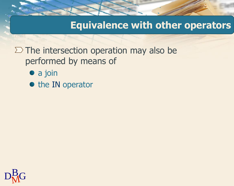#### **Equivalence with other operators**

 $\Sigma$  The intersection operation may also be performed by means of

- a join
- the IN operator

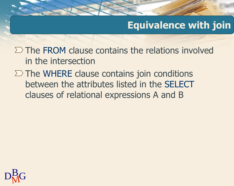# **Equivalence with join**

 $\Sigma$  The FROM clause contains the relations involved in the intersection

 $\Sigma$  The WHERE clause contains join conditions between the attributes listed in the SELECT clauses of relational expressions A and B

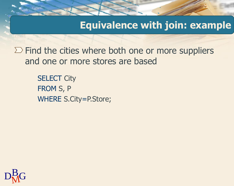**Equivalence with join: example**

 $\Sigma$  Find the cities where both one or more suppliers and one or more stores are based

> **SELECT City** FROM S, P WHERE S.City=P.Store;

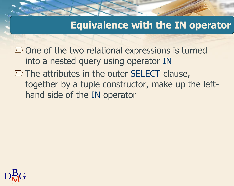### **Equivalence with the IN operator**

 $\Sigma$  One of the two relational expressions is turned into a nested query using operator IN  $\Sigma$  The attributes in the outer SELECT clause, together by a tuple constructor, make up the lefthand side of the IN operator

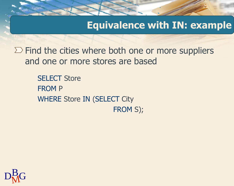**Equivalence with IN: example**

 $\Sigma$  Find the cities where both one or more suppliers and one or more stores are based

> SELECT Store FROM P WHERE Store IN (SELECT City FROM S);

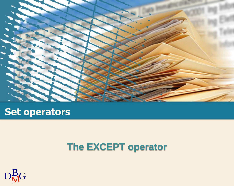

## **Set operators**

## **The EXCEPT operator**

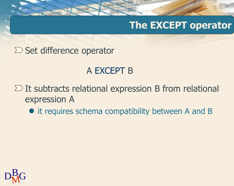## **The EXCEPT operator**

 $\Sigma$  Set difference operator

## A EXCEPT B

 $\Sigma$  It subtracts relational expression B from relational expression A

 $\bullet$  it requires schema compatibility between A and B

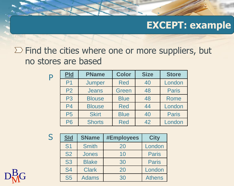$\Sigma$  Find the cities where one or more suppliers, but no stores are based

| P | Pld            | <b>PName</b>  | <b>Color</b> | <b>Size</b> | <b>Store</b> |
|---|----------------|---------------|--------------|-------------|--------------|
|   | P <sub>1</sub> | Jumper        | <b>Red</b>   | 40          | London       |
|   | P <sub>2</sub> | <b>Jeans</b>  | Green        | 48          | <b>Paris</b> |
|   | P <sub>3</sub> | <b>Blouse</b> | <b>Blue</b>  | 48          | Rome         |
|   | P <sub>4</sub> | <b>Blouse</b> | <b>Red</b>   | 44          | London       |
|   | P <sub>5</sub> | <b>Skirt</b>  | <b>Blue</b>  | 40          | <b>Paris</b> |
|   | <b>P6</b>      | <b>Shorts</b> | <b>Red</b>   | 42          | London       |

S

| <b>SId</b> | <b>SName</b> | <b>#Employees</b> | <b>City</b>   |
|------------|--------------|-------------------|---------------|
| <b>S1</b>  | <b>Smith</b> | 20                | London        |
| <b>S2</b>  | <b>Jones</b> | 10                | <b>Paris</b>  |
| <b>S3</b>  | <b>Blake</b> | 30                | <b>Paris</b>  |
| <b>S4</b>  | <b>Clark</b> | 20                | London        |
| <b>S5</b>  | <b>Adams</b> | 30                | <b>Athens</b> |

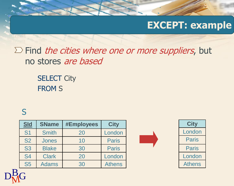$\Sigma$  Find the cities where one or more suppliers, but no stores are based

> **SELECT City** FROM S

#### S

| <b>SId</b>     | <b>SName</b> | <b>#Employees</b> | <b>City</b>   |
|----------------|--------------|-------------------|---------------|
| S <sub>1</sub> | <b>Smith</b> | 20                | London        |
| <b>S2</b>      | <b>Jones</b> | 10                | <b>Paris</b>  |
| <b>S3</b>      | <b>Blake</b> | 30                | <b>Paris</b>  |
| <b>S4</b>      | <b>Clark</b> | 20                | London        |
| <b>S5</b>      | <b>Adams</b> | 30                | <b>Athens</b> |





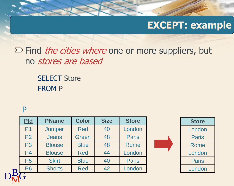$\Sigma$  Find *the cities where* one or more suppliers, but no stores are based

> **SELECT Store** FROM P

#### P

| Pld            | <b>PName</b>  | <b>Color</b> | <b>Size</b> | <b>Store</b> | <b>Store</b> |
|----------------|---------------|--------------|-------------|--------------|--------------|
| P <sub>1</sub> | Jumper        | <b>Red</b>   | 40          | London       | London       |
| P <sub>2</sub> | <b>Jeans</b>  | Green        | 48          | <b>Paris</b> | <b>Paris</b> |
| P <sub>3</sub> | <b>Blouse</b> | <b>Blue</b>  | 48          | <b>Rome</b>  | Rome         |
| <b>P4</b>      | <b>Blouse</b> | <b>Red</b>   | 44          | London       | London       |
| <b>P5</b>      | <b>Skirt</b>  | <b>Blue</b>  | 40          | <b>Paris</b> | <b>Paris</b> |
| <b>P6</b>      | <b>Shorts</b> | <b>Red</b>   | 42          | London       | London       |
|                |               |              |             |              |              |
|                |               |              |             |              |              |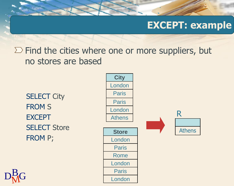$\Sigma$  Find the cities where one or more suppliers, but no stores are based

**SELECT City** FROM S EXCEPT **SELECT Store** FROM P;



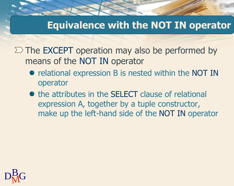## **Equivalence with the NOT IN operator**

 $\Sigma$  The EXCEPT operation may also be performed by means of the NOT IN operator

- relational expression B is nested within the NOT IN operator
- the attributes in the SELECT clause of relational expression A, together by a tuple constructor, make up the left-hand side of the NOT IN operator